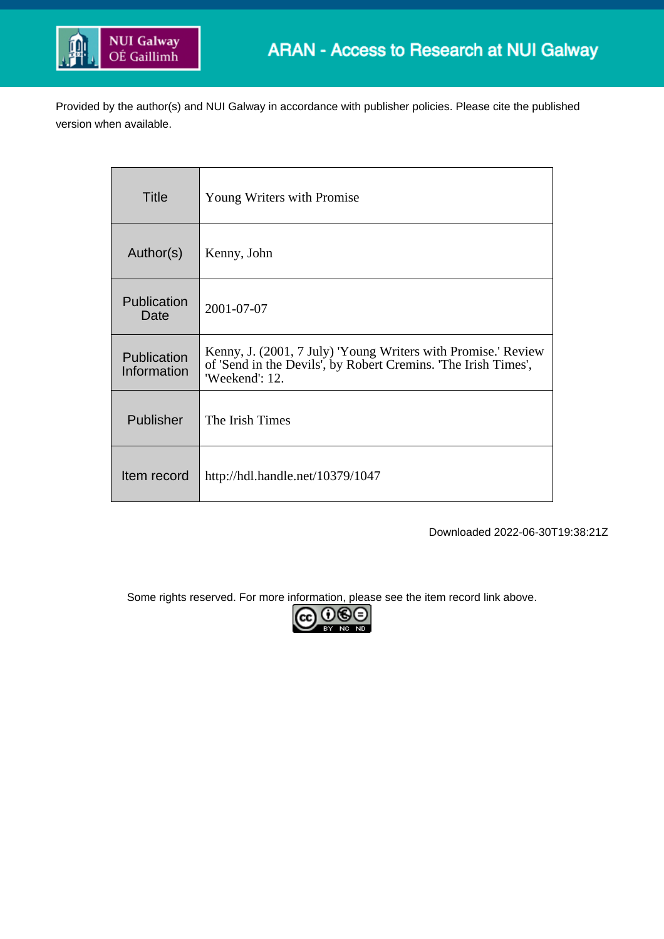

Provided by the author(s) and NUI Galway in accordance with publisher policies. Please cite the published version when available.

| Title                      | Young Writers with Promise                                                                                                                        |
|----------------------------|---------------------------------------------------------------------------------------------------------------------------------------------------|
| Author(s)                  | Kenny, John                                                                                                                                       |
| Publication<br>Date        | 2001-07-07                                                                                                                                        |
| Publication<br>Information | Kenny, J. (2001, 7 July) 'Young Writers with Promise.' Review<br>of 'Send in the Devils', by Robert Cremins. 'The Irish Times',<br>'Weekend': 12. |
| Publisher                  | The Irish Times                                                                                                                                   |
| Item record                | http://hdl.handle.net/10379/1047                                                                                                                  |

Downloaded 2022-06-30T19:38:21Z

Some rights reserved. For more information, please see the item record link above.